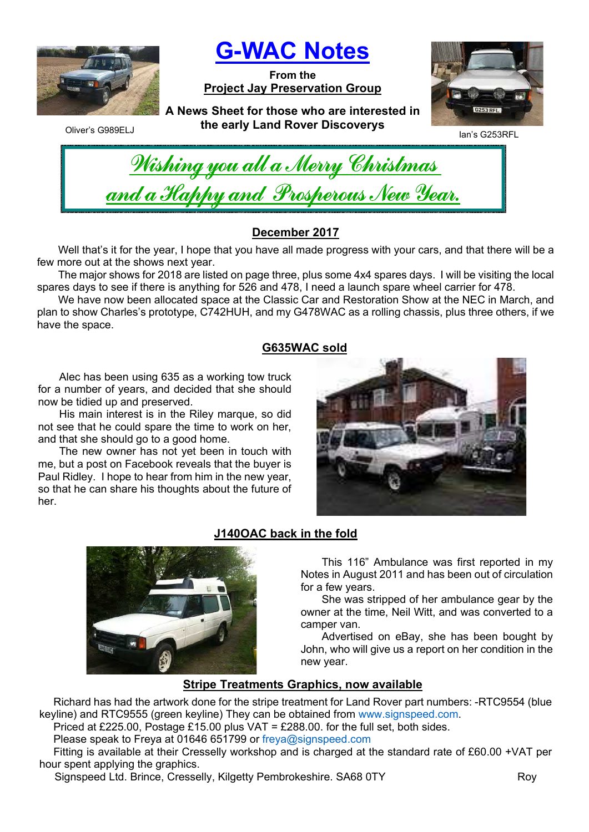

G-WAC Notes

From the Project Jay Preservation Group



Oliver's G989ELJ

A News Sheet for those who are interested in the early Land Rover Discoverys



| Nishing you all a Merry Christmas    |  |
|--------------------------------------|--|
| and a Happy and Prosperous New Year. |  |

# December 2017

Well that's it for the year, I hope that you have all made progress with your cars, and that there will be a few more out at the shows next year.

The major shows for 2018 are listed on page three, plus some 4x4 spares days. I will be visiting the local spares days to see if there is anything for 526 and 478, I need a launch spare wheel carrier for 478.

We have now been allocated space at the Classic Car and Restoration Show at the NEC in March, and plan to show Charles's prototype, C742HUH, and my G478WAC as a rolling chassis, plus three others, if we have the space.

## G635WAC sold

Alec has been using 635 as a working tow truck for a number of years, and decided that she should now be tidied up and preserved.

His main interest is in the Riley marque, so did not see that he could spare the time to work on her, and that she should go to a good home.

The new owner has not yet been in touch with me, but a post on Facebook reveals that the buyer is Paul Ridley. I hope to hear from him in the new year, so that he can share his thoughts about the future of her.





# J140OAC back in the fold

This 116" Ambulance was first reported in my Notes in August 2011 and has been out of circulation for a few years.

She was stripped of her ambulance gear by the owner at the time, Neil Witt, and was converted to a camper van.

Advertised on eBay, she has been bought by John, who will give us a report on her condition in the new year.

# Stripe Treatments Graphics, now available

Richard has had the artwork done for the stripe treatment for Land Rover part numbers: -RTC9554 (blue keyline) and RTC9555 (green keyline) They can be obtained from www.signspeed.com.

Priced at £225.00, Postage £15.00 plus VAT = £288.00, for the full set, both sides.

Please speak to Freya at 01646 651799 or freya@signspeed.com

Fitting is available at their Cresselly workshop and is charged at the standard rate of £60.00 +VAT per hour spent applying the graphics.

Signspeed Ltd. Brince, Cresselly, Kilgetty Pembrokeshire. SA68 0TY The Communication Roy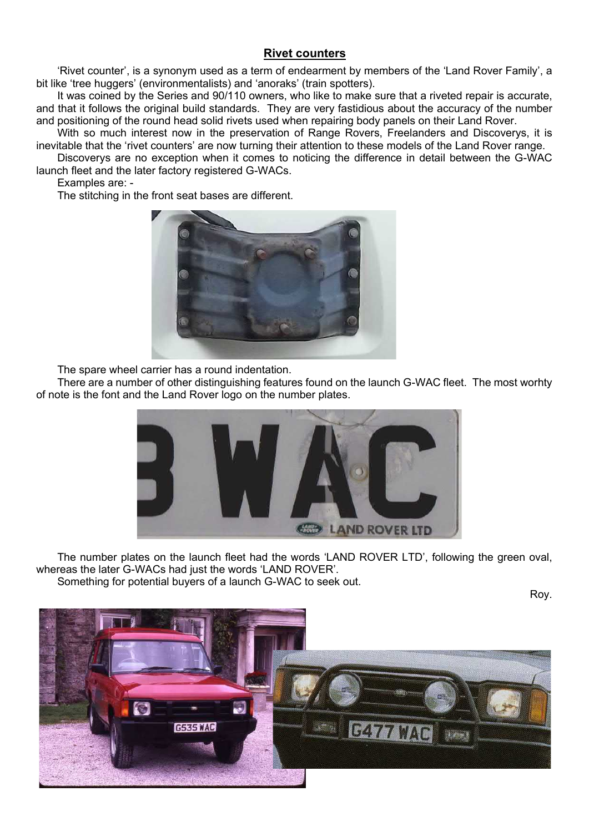### Rivet counters

'Rivet counter', is a synonym used as a term of endearment by members of the 'Land Rover Family', a bit like 'tree huggers' (environmentalists) and 'anoraks' (train spotters).

It was coined by the Series and 90/110 owners, who like to make sure that a riveted repair is accurate, and that it follows the original build standards. They are very fastidious about the accuracy of the number and positioning of the round head solid rivets used when repairing body panels on their Land Rover.

With so much interest now in the preservation of Range Rovers, Freelanders and Discoverys, it is inevitable that the 'rivet counters' are now turning their attention to these models of the Land Rover range.

Discoverys are no exception when it comes to noticing the difference in detail between the G-WAC launch fleet and the later factory registered G-WACs.

Examples are: -

The stitching in the front seat bases are different.



The spare wheel carrier has a round indentation.

There are a number of other distinguishing features found on the launch G-WAC fleet. The most worhty of note is the font and the Land Rover logo on the number plates.



The number plates on the launch fleet had the words 'LAND ROVER LTD', following the green oval, whereas the later G-WACs had just the words 'LAND ROVER'. Something for potential buyers of a launch G-WAC to seek out.

Roy.

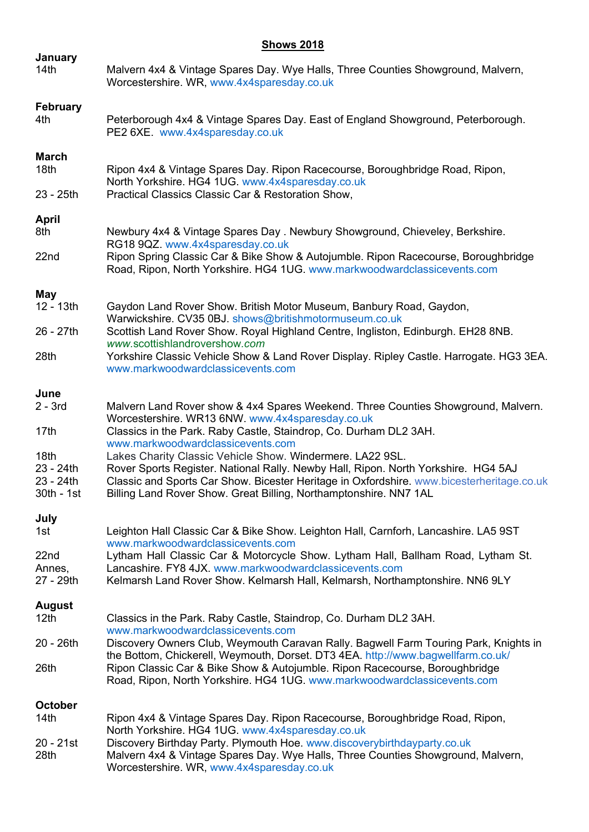## **Shows 2018**

| January<br>14th                   | Malvern 4x4 & Vintage Spares Day. Wye Halls, Three Counties Showground, Malvern,<br>Worcestershire. WR, www.4x4sparesday.co.uk                                                                                                              |
|-----------------------------------|---------------------------------------------------------------------------------------------------------------------------------------------------------------------------------------------------------------------------------------------|
| <b>February</b><br>4th            | Peterborough 4x4 & Vintage Spares Day. East of England Showground, Peterborough.<br>PE2 6XE. www.4x4sparesday.co.uk                                                                                                                         |
| <b>March</b><br>18th              | Ripon 4x4 & Vintage Spares Day. Ripon Racecourse, Boroughbridge Road, Ripon,<br>North Yorkshire. HG4 1UG. www.4x4sparesday.co.uk                                                                                                            |
| 23 - 25th                         | Practical Classics Classic Car & Restoration Show,                                                                                                                                                                                          |
| <b>April</b><br>8th               | Newbury 4x4 & Vintage Spares Day . Newbury Showground, Chieveley, Berkshire.<br>RG18 9QZ. www.4x4sparesday.co.uk                                                                                                                            |
| 22nd                              | Ripon Spring Classic Car & Bike Show & Autojumble. Ripon Racecourse, Boroughbridge<br>Road, Ripon, North Yorkshire. HG4 1UG. www.markwoodwardclassicevents.com                                                                              |
| May                               |                                                                                                                                                                                                                                             |
| 12 - 13th                         | Gaydon Land Rover Show. British Motor Museum, Banbury Road, Gaydon,<br>Warwickshire. CV35 0BJ. shows@britishmotormuseum.co.uk                                                                                                               |
| 26 - 27th                         | Scottish Land Rover Show. Royal Highland Centre, Ingliston, Edinburgh. EH28 8NB.<br>www.scottishlandrovershow.com                                                                                                                           |
| 28th                              | Yorkshire Classic Vehicle Show & Land Rover Display. Ripley Castle. Harrogate. HG3 3EA.<br>www.markwoodwardclassicevents.com                                                                                                                |
| June                              |                                                                                                                                                                                                                                             |
| $2 - 3rd$                         | Malvern Land Rover show & 4x4 Spares Weekend. Three Counties Showground, Malvern.<br>Worcestershire. WR13 6NW. www.4x4sparesday.co.uk                                                                                                       |
| 17 <sub>th</sub>                  | Classics in the Park. Raby Castle, Staindrop, Co. Durham DL2 3AH.<br>www.markwoodwardclassicevents.com                                                                                                                                      |
| 18th                              | Lakes Charity Classic Vehicle Show. Windermere. LA22 9SL.                                                                                                                                                                                   |
| 23 - 24th<br>23 - 24th            | Rover Sports Register. National Rally. Newby Hall, Ripon. North Yorkshire. HG4 5AJ<br>Classic and Sports Car Show. Bicester Heritage in Oxfordshire. www.bicesterheritage.co.uk                                                             |
| 30th - 1st                        | Billing Land Rover Show. Great Billing, Northamptonshire. NN7 1AL                                                                                                                                                                           |
| July<br>1st                       | Leighton Hall Classic Car & Bike Show. Leighton Hall, Carnforh, Lancashire. LA5 9ST                                                                                                                                                         |
| 22nd                              | www.markwoodwardclassicevents.com<br>Lytham Hall Classic Car & Motorcycle Show. Lytham Hall, Ballham Road, Lytham St.                                                                                                                       |
| Annes,<br>27 - 29th               | Lancashire. FY8 4JX. www.markwoodwardclassicevents.com<br>Kelmarsh Land Rover Show. Kelmarsh Hall, Kelmarsh, Northamptonshire. NN6 9LY                                                                                                      |
|                                   |                                                                                                                                                                                                                                             |
| <b>August</b><br>12 <sub>th</sub> | Classics in the Park. Raby Castle, Staindrop, Co. Durham DL2 3AH.<br>www.markwoodwardclassicevents.com                                                                                                                                      |
| 20 - 26th                         | Discovery Owners Club, Weymouth Caravan Rally. Bagwell Farm Touring Park, Knights in                                                                                                                                                        |
| 26th                              | the Bottom, Chickerell, Weymouth, Dorset. DT3 4EA. http://www.bagwellfarm.co.uk/<br>Ripon Classic Car & Bike Show & Autojumble. Ripon Racecourse, Boroughbridge<br>Road, Ripon, North Yorkshire. HG4 1UG. www.markwoodwardclassicevents.com |
| <b>October</b>                    |                                                                                                                                                                                                                                             |
| 14th                              | Ripon 4x4 & Vintage Spares Day. Ripon Racecourse, Boroughbridge Road, Ripon,<br>North Yorkshire. HG4 1UG. www.4x4sparesday.co.uk                                                                                                            |
| 20 - 21st                         | Discovery Birthday Party. Plymouth Hoe. www.discoverybirthdayparty.co.uk                                                                                                                                                                    |
| 28th                              | Malvern 4x4 & Vintage Spares Day. Wye Halls, Three Counties Showground, Malvern,<br>Worcestershire. WR, www.4x4sparesday.co.uk                                                                                                              |